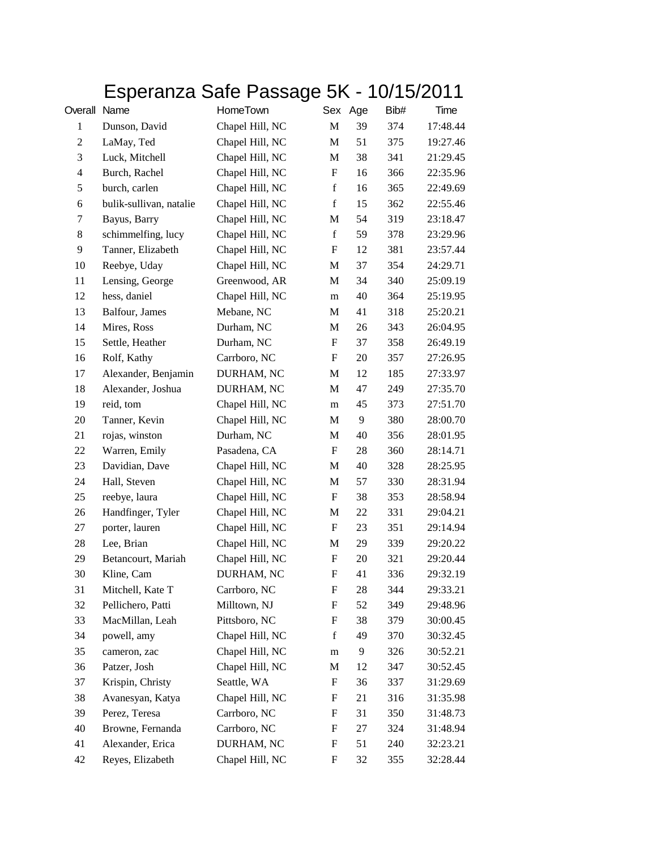## Esperanza Safe Passage 5K - 10/15/2011

| Overall Name   |                         | HomeTown        |                           | Sex Age | Bib# | Time     |
|----------------|-------------------------|-----------------|---------------------------|---------|------|----------|
| $\mathbf{1}$   | Dunson, David           | Chapel Hill, NC | $\mathbf M$               | 39      | 374  | 17:48.44 |
| $\mathbf{2}$   | LaMay, Ted              | Chapel Hill, NC | M                         | 51      | 375  | 19:27.46 |
| 3              | Luck, Mitchell          | Chapel Hill, NC | M                         | 38      | 341  | 21:29.45 |
| $\overline{4}$ | Burch, Rachel           | Chapel Hill, NC | $\boldsymbol{\mathrm{F}}$ | 16      | 366  | 22:35.96 |
| 5              | burch, carlen           | Chapel Hill, NC | $\mathbf f$               | 16      | 365  | 22:49.69 |
| 6              | bulik-sullivan, natalie | Chapel Hill, NC | $\mathbf f$               | 15      | 362  | 22:55.46 |
| 7              | Bayus, Barry            | Chapel Hill, NC | M                         | 54      | 319  | 23:18.47 |
| 8              | schimmelfing, lucy      | Chapel Hill, NC | $\mathbf f$               | 59      | 378  | 23:29.96 |
| 9              | Tanner, Elizabeth       | Chapel Hill, NC | $\boldsymbol{\mathrm{F}}$ | 12      | 381  | 23:57.44 |
| 10             | Reebye, Uday            | Chapel Hill, NC | M                         | 37      | 354  | 24:29.71 |
| 11             | Lensing, George         | Greenwood, AR   | M                         | 34      | 340  | 25:09.19 |
| 12             | hess, daniel            | Chapel Hill, NC | m                         | 40      | 364  | 25:19.95 |
| 13             | Balfour, James          | Mebane, NC      | M                         | 41      | 318  | 25:20.21 |
| 14             | Mires, Ross             | Durham, NC      | M                         | 26      | 343  | 26:04.95 |
| 15             | Settle, Heather         | Durham, NC      | F                         | 37      | 358  | 26:49.19 |
| 16             | Rolf, Kathy             | Carrboro, NC    | F                         | 20      | 357  | 27:26.95 |
| 17             | Alexander, Benjamin     | DURHAM, NC      | M                         | 12      | 185  | 27:33.97 |
| 18             | Alexander, Joshua       | DURHAM, NC      | M                         | 47      | 249  | 27:35.70 |
| 19             | reid, tom               | Chapel Hill, NC | m                         | 45      | 373  | 27:51.70 |
| 20             | Tanner, Kevin           | Chapel Hill, NC | M                         | 9       | 380  | 28:00.70 |
| 21             | rojas, winston          | Durham, NC      | M                         | 40      | 356  | 28:01.95 |
| 22             | Warren, Emily           | Pasadena, CA    | $\boldsymbol{\mathrm{F}}$ | 28      | 360  | 28:14.71 |
| 23             | Davidian, Dave          | Chapel Hill, NC | M                         | 40      | 328  | 28:25.95 |
| 24             | Hall, Steven            | Chapel Hill, NC | M                         | 57      | 330  | 28:31.94 |
| 25             | reebye, laura           | Chapel Hill, NC | F                         | 38      | 353  | 28:58.94 |
| 26             | Handfinger, Tyler       | Chapel Hill, NC | M                         | 22      | 331  | 29:04.21 |
| 27             | porter, lauren          | Chapel Hill, NC | $\boldsymbol{\mathrm{F}}$ | 23      | 351  | 29:14.94 |
| 28             | Lee, Brian              | Chapel Hill, NC | M                         | 29      | 339  | 29:20.22 |
| 29             | Betancourt, Mariah      | Chapel Hill, NC | F                         | 20      | 321  | 29:20.44 |
| 30             | Kline, Cam              | DURHAM, NC      | F                         | 41      | 336  | 29:32.19 |
| 31             | Mitchell, Kate T        | Carrboro, NC    | F                         | 28      | 344  | 29:33.21 |
| 32             | Pellichero, Patti       | Milltown, NJ    | F                         | 52      | 349  | 29:48.96 |
| 33             | MacMillan, Leah         | Pittsboro, NC   | F                         | 38      | 379  | 30:00.45 |
| 34             | powell, amy             | Chapel Hill, NC | $\mathbf f$               | 49      | 370  | 30:32.45 |
| 35             | cameron, zac            | Chapel Hill, NC | m                         | 9       | 326  | 30:52.21 |
| 36             | Patzer, Josh            | Chapel Hill, NC | M                         | 12      | 347  | 30:52.45 |
| 37             | Krispin, Christy        | Seattle, WA     | F                         | 36      | 337  | 31:29.69 |
| 38             | Avanesyan, Katya        | Chapel Hill, NC | F                         | 21      | 316  | 31:35.98 |
| 39             | Perez, Teresa           | Carrboro, NC    | F                         | 31      | 350  | 31:48.73 |
| 40             | Browne, Fernanda        | Carrboro, NC    | F                         | 27      | 324  | 31:48.94 |
| 41             | Alexander, Erica        | DURHAM, NC      | F                         | 51      | 240  | 32:23.21 |
| 42             | Reyes, Elizabeth        | Chapel Hill, NC | F                         | 32      | 355  | 32:28.44 |